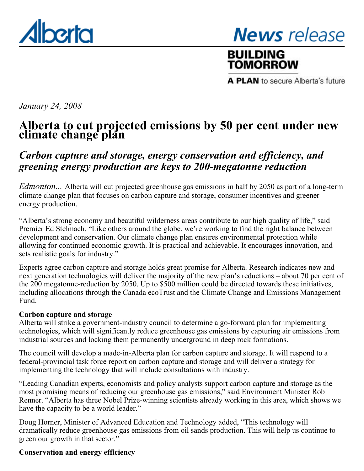<span id="page-0-0"></span>

**News** release

# **BUILDING** TOMORROW

A PLAN to secure Alberta's future

*January 24, 2008*

# **Alberta to cut projected emissions by 50 per cent under new climate change plan**

# *Carbon capture and storage, energy conservation and efficiency, and greening energy production are keys to 200-megatonne reduction*

*Edmonton...* Alberta will cut projected greenhouse gas emissions in half by 2050 as part of a long-term climate change plan that focuses on carbon capture and storage, consumer incentives and greener energy production.

"Alberta's strong economy and beautiful wilderness areas contribute to our high quality of life," said Premier Ed Stelmach. "Like others around the globe, we're working to find the right balance between development and conservation. Our climate change plan ensures environmental protection while allowing for continued economic growth. It is practical and achievable. It encourages innovation, and sets realistic goals for industry."

Experts agree carbon capture and storage holds great promise for Alberta. Research indicates new and next generation technologies will deliver the majority of the new plan's reductions – about 70 per cent of the 200 megatonne-reduction by 2050. Up to \$500 million could be directed towards these initiatives, including allocations through the Canada ecoTrust and the Climate Change and Emissions Management Fund.

### **Carbon capture and storage**

Alberta will strike a government-industry council to determine a go-forward plan for implementing technologies, which will significantly reduce greenhouse gas emissions by capturing air emissions from industrial sources and locking them permanently underground in deep rock formations.

The council will develop a made-in-Alberta plan for carbon capture and storage. It will respond to a federal-provincial task force report on carbon capture and storage and will deliver a strategy for implementing the technology that will include consultations with industry.

"Leading Canadian experts, economists and policy analysts support carbon capture and storage as the most promising means of reducing our greenhouse gas emissions," said Environment Minister Rob Renner. "Alberta has three Nobel Prize-winning scientists already working in this area, which shows we have the capacity to be a world leader."

Doug Horner, Minister of Advanced Education and Technology added, "This technology will dramatically reduce greenhouse gas emissions from oil sands production. This will help us continue to green our growth in that sector."

## **Conservation and energy efficiency**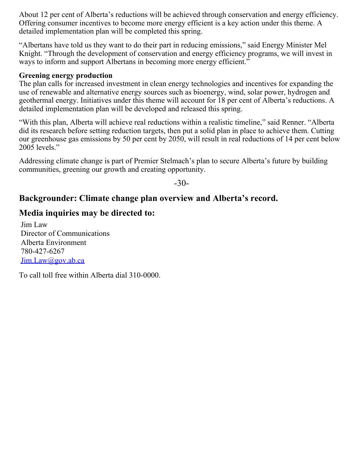About 12 per cent of Alberta's reductions will be achieved through conservation and energy efficiency. Offering consumer incentives to become more energy efficient is a key action under this theme. A detailed implementation plan will be completed this spring.

"Albertans have told us they want to do their part in reducing emissions," said Energy Minister Mel Knight. "Through the development of conservation and energy efficiency programs, we will invest in ways to inform and support Albertans in becoming more energy efficient."

#### **Greening energy production**

The plan calls for increased investment in clean energy technologies and incentives for expanding the use of renewable and alternative energy sources such as bioenergy, wind, solar power, hydrogen and geothermal energy. Initiatives under this theme will account for 18 per cent of Alberta's reductions. A detailed implementation plan will be developed and released this spring.

"With this plan, Alberta will achieve real reductions within a realistic timeline," said Renner. "Alberta did its research before setting reduction targets, then put a solid plan in place to achieve them. Cutting our greenhouse gas emissions by 50 per cent by 2050, will result in real reductions of 14 per cent below 2005 levels."

Addressing climate change is part of Premier Stelmach's plan to secure Alberta's future by building communities, greening our growth and creating opportunity.

 $-30-$ 

## **Backgrounder: Climate change plan overview and Alberta's record.**

## **Media inquiries may be directed to:**

Jim Law Director of Communications Alberta Environment 780-427-6267 [Jim.Law@gov.ab.ca](mailto:Jim.Law@gov.ab.ca)

To call toll free within Alberta dial 310-0000.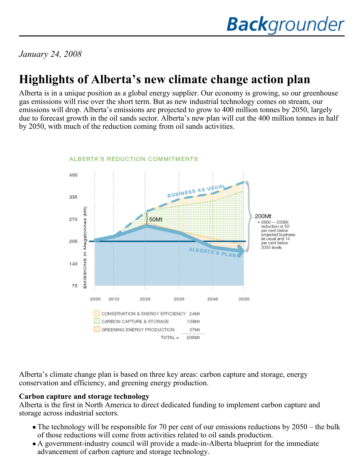*January 24, 2008*

# **Highlights of Alberta's new climate change action plan**

Alberta is in a unique position as a global energy supplier. Our economy is growing, so our greenhouse gas emissions will rise over the short term. But as new industrial technology comes on stream, our emissions will drop. Alberta's emissions are projected to grow to 400 million tonnes by 2050, largely due to forecast growth in the oil sands sector. Alberta's new plan will cut the 400 million tonnes in half by 2050, with much of the reduction coming from oil sands activities.



Alberta's climate change plan is based on three key areas: carbon capture and storage, energy conservation and efficiency, and greening energy production.

### **Carbon capture and storage technology**

Alberta is the first in North America to direct dedicated funding to implement carbon capture and storage across industrial sectors.

- The technology will be responsible for 70 per cent of our emissions reductions by 2050 the bulk of those reductions will come from activities related to oil sands production.
- A government-industry council will provide a made-in-Alberta blueprint for the immediate advancement of carbon capture and storage technology.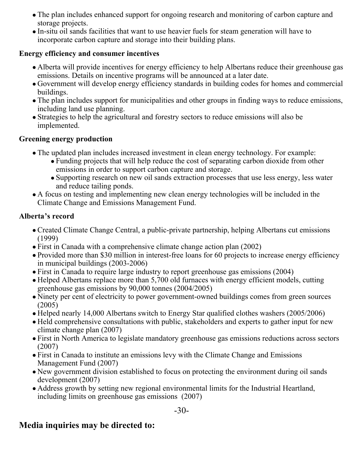- The plan includes enhanced support for ongoing research and monitoring of carbon capture and storage projects.
- In-situ oil sands facilities that want to use heavier fuels for steam generation will have to incorporate carbon capture and storage into their building plans.

## **Energy efficiency and consumer incentives**

- Alberta will provide incentives for energy efficiency to help Albertans reduce their greenhouse gas emissions. Details on incentive programs will be announced at a later date.
- Government will develop energy efficiency standards in building codes for homes and commercial buildings.
- The plan includes support for municipalities and other groups in finding ways to reduce emissions, including land use planning.
- Strategies to help the agricultural and forestry sectors to reduce emissions will also be implemented.

## **Greening energy production**

- The updated plan includes increased investment in clean energy technology. For example:
	- Funding projects that will help reduce the cost of separating carbon dioxide from other emissions in order to support carbon capture and storage.
	- Supporting research on new oil sands extraction processes that use less energy, less water and reduce tailing ponds.
- A focus on testing and implementing new clean energy technologies will be included in the Climate Change and Emissions Management Fund.

## **Alberta's record**

- Created Climate Change Central, a public-private partnership, helping Albertans cut emissions (1999)
- First in Canada with a comprehensive climate change action plan (2002)
- Provided more than \$30 million in interest-free loans for 60 projects to increase energy efficiency in municipal buildings (2003-2006)
- First in Canada to require large industry to report greenhouse gas emissions (2004)
- Helped Albertans replace more than 5,700 old furnaces with energy efficient models, cutting greenhouse gas emissions by 90,000 tonnes (2004/2005)
- Ninety per cent of electricity to power government-owned buildings comes from green sources (2005)
- Helped nearly 14,000 Albertans switch to Energy Star qualified clothes washers (2005/2006)
- Held comprehensive consultations with public, stakeholders and experts to gather input for new climate change plan (2007)
- First in North America to legislate mandatory greenhouse gas emissions reductions across sectors (2007)
- First in Canada to institute an emissions levy with the Climate Change and Emissions Management Fund (2007)
- New government division established to focus on protecting the environment during oil sands development (2007)
- Address growth by setting new regional environmental limits for the Industrial Heartland, including limits on greenhouse gas emissions (2007)

## **Media inquiries may be directed to:**